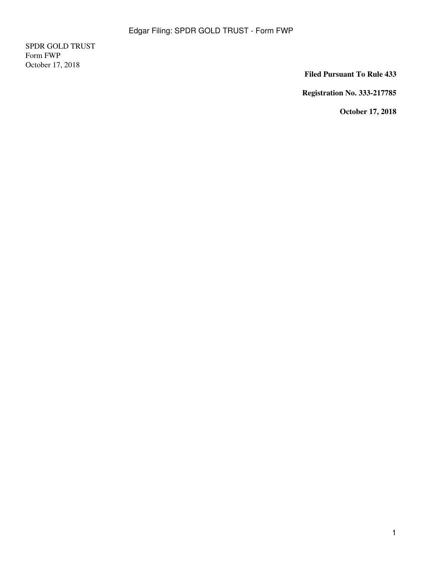SPDR GOLD TRUST Form FWP October 17, 2018

**Filed Pursuant To Rule 433**

**Registration No. 333-217785**

**October 17, 2018**